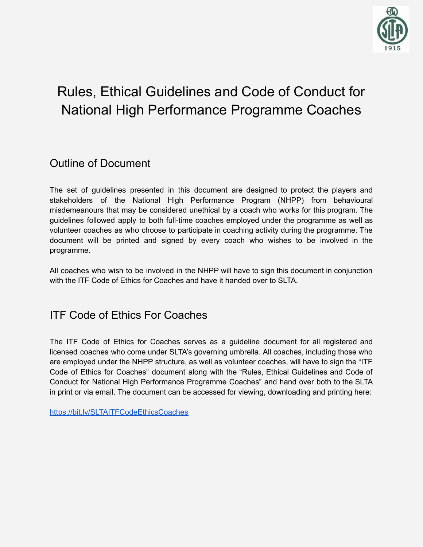

# Rules, Ethical Guidelines and Code of Conduct for National High Performance Programme Coaches

### Outline of Document

The set of guidelines presented in this document are designed to protect the players and stakeholders of the National High Performance Program (NHPP) from behavioural misdemeanours that may be considered unethical by a coach who works for this program. The guidelines followed apply to both full-time coaches employed under the programme as well as volunteer coaches as who choose to participate in coaching activity during the programme. The document will be printed and signed by every coach who wishes to be involved in the programme.

All coaches who wish to be involved in the NHPP will have to sign this document in conjunction with the ITF Code of Ethics for Coaches and have it handed over to SLTA.

#### ITF Code of Ethics For Coaches

The ITF Code of Ethics for Coaches serves as a guideline document for all registered and licensed coaches who come under SLTA's governing umbrella. All coaches, including those who are employed under the NHPP structure, as well as volunteer coaches, will have to sign the "ITF Code of Ethics for Coaches" document along with the "Rules, Ethical Guidelines and Code of Conduct for National High Performance Programme Coaches" and hand over both to the SLTA in print or via email. The document can be accessed for viewing, downloading and printing here:

<https://bit.ly/SLTAITFCodeEthicsCoaches>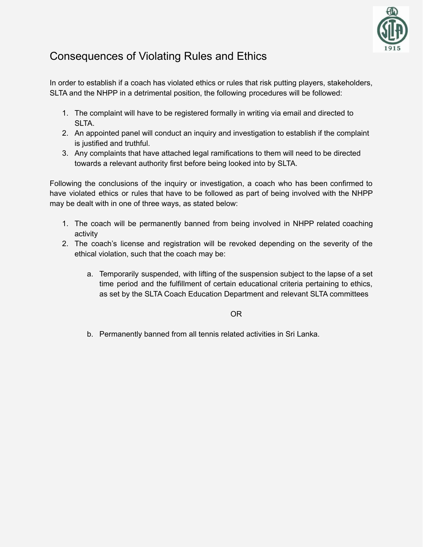

# Consequences of Violating Rules and Ethics

In order to establish if a coach has violated ethics or rules that risk putting players, stakeholders, SLTA and the NHPP in a detrimental position, the following procedures will be followed:

- 1. The complaint will have to be registered formally in writing via email and directed to SLTA.
- 2. An appointed panel will conduct an inquiry and investigation to establish if the complaint is justified and truthful.
- 3. Any complaints that have attached legal ramifications to them will need to be directed towards a relevant authority first before being looked into by SLTA.

Following the conclusions of the inquiry or investigation, a coach who has been confirmed to have violated ethics or rules that have to be followed as part of being involved with the NHPP may be dealt with in one of three ways, as stated below:

- 1. The coach will be permanently banned from being involved in NHPP related coaching activity
- 2. The coach's license and registration will be revoked depending on the severity of the ethical violation, such that the coach may be:
	- a. Temporarily suspended, with lifting of the suspension subject to the lapse of a set time period and the fulfillment of certain educational criteria pertaining to ethics, as set by the SLTA Coach Education Department and relevant SLTA committees

OR

b. Permanently banned from all tennis related activities in Sri Lanka.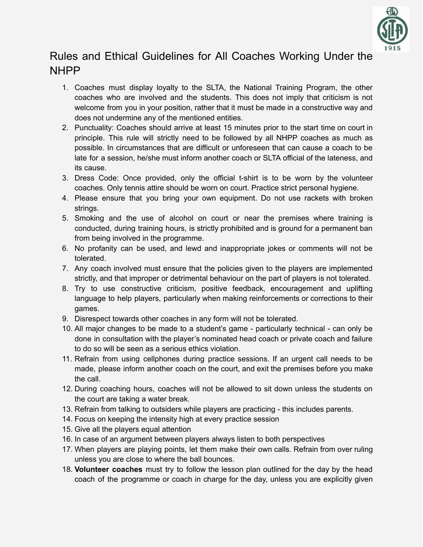

# Rules and Ethical Guidelines for All Coaches Working Under the NHPP

- 1. Coaches must display loyalty to the SLTA, the National Training Program, the other coaches who are involved and the students. This does not imply that criticism is not welcome from you in your position, rather that it must be made in a constructive way and does not undermine any of the mentioned entities.
- 2. Punctuality: Coaches should arrive at least 15 minutes prior to the start time on court in principle. This rule will strictly need to be followed by all NHPP coaches as much as possible. In circumstances that are difficult or unforeseen that can cause a coach to be late for a session, he/she must inform another coach or SLTA official of the lateness, and its cause.
- 3. Dress Code: Once provided, only the official t-shirt is to be worn by the volunteer coaches. Only tennis attire should be worn on court. Practice strict personal hygiene.
- 4. Please ensure that you bring your own equipment. Do not use rackets with broken strings.
- 5. Smoking and the use of alcohol on court or near the premises where training is conducted, during training hours, is strictly prohibited and is ground for a permanent ban from being involved in the programme.
- 6. No profanity can be used, and lewd and inappropriate jokes or comments will not be tolerated.
- 7. Any coach involved must ensure that the policies given to the players are implemented strictly, and that improper or detrimental behaviour on the part of players is not tolerated.
- 8. Try to use constructive criticism, positive feedback, encouragement and uplifting language to help players, particularly when making reinforcements or corrections to their games.
- 9. Disrespect towards other coaches in any form will not be tolerated.
- 10. All major changes to be made to a student's game particularly technical can only be done in consultation with the player's nominated head coach or private coach and failure to do so will be seen as a serious ethics violation.
- 11. Refrain from using cellphones during practice sessions. If an urgent call needs to be made, please inform another coach on the court, and exit the premises before you make the call.
- 12. During coaching hours, coaches will not be allowed to sit down unless the students on the court are taking a water break.
- 13. Refrain from talking to outsiders while players are practicing this includes parents.
- 14. Focus on keeping the intensity high at every practice session
- 15. Give all the players equal attention
- 16. In case of an argument between players always listen to both perspectives
- 17. When players are playing points, let them make their own calls. Refrain from over ruling unless you are close to where the ball bounces.
- 18. **Volunteer coaches** must try to follow the lesson plan outlined for the day by the head coach of the programme or coach in charge for the day, unless you are explicitly given